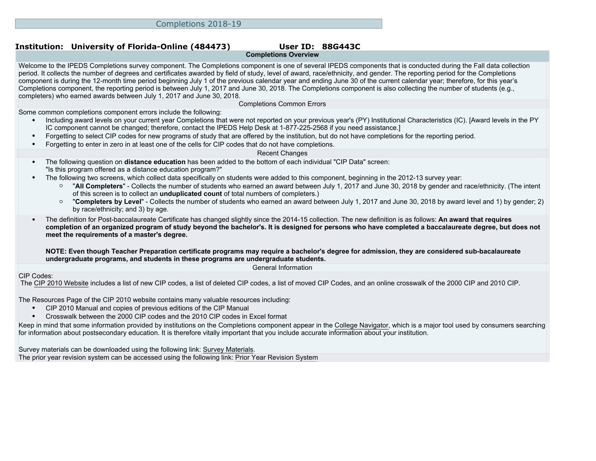# **Completions Overview**

Welcome to the IPEDS Completions survey component. The Completions component is one of several IPEDS components that is conducted during the Fall data collection period. It collects the number of degrees and certificates awarded by field of study, level of award, race/ethnicity, and gender. The reporting period for the Completions component is during the 12-month time period beginning July 1 of the previous calendar year and ending June 30 of the current calendar year; therefore, for this year's Completions component, the reporting period is between July 1, 2017 and June 30, 2018. The Completions component is also collecting the number of students (e.g., completers) who earned awards between July 1, 2017 and June 30, 2018.

Completions Common Errors

Some common completions component errors include the following:

- Including award levels on your current year Completions that were not reported on your previous year's (PY) Institutional Characteristics (IC). [Award levels in the PY IC component cannot be changed; therefore, contact the IPEDS Help Desk at 1-877-225-2568 if you need assistance.]
- Forgetting to select CIP codes for new programs of study that are offered by the institution, but do not have completions for the reporting period.
- Forgetting to enter in zero in at least one of the cells for CIP codes that do not have completions.

#### Recent Changes

- The following question on **distance education** has been added to the bottom of each individual "CIP Data" screen: "Is this program offered as a distance education program?"
- The following two screens, which collect data specifically on students were added to this component, beginning in the 2012-13 survey year:
	- "**All Completers**" Collects the number of students who earned an award between July 1, 2017 and June 30, 2018 by gender and race/ethnicity. (The intent of this screen is to collect an **unduplicated count** of total numbers of completers.)
	- "**Completers by Level**" Collects the number of students who earned an award between July 1, 2017 and June 30, 2018 by award level and 1) by gender; 2) by race/ethnicity; and 3) by age.
- The definition for Post-baccalaureate Certificate has changed slightly since the 2014-15 collection. The new definition is as follows: **An award that requires completion of an organized program of study beyond the bachelor's. It is designed for persons who have completed a baccalaureate degree, but does not meet the requirements of a master's degree.**

**NOTE: Even though Teacher Preparation certificate programs may require a bachelor's degree for admission, they are considered sub-bacalaureate undergraduate programs, and students in these programs are undergraduate students.**

General Information

#### CIP Codes:

The [CIP 2010 Website](https://nces.ed.gov/ipeds/cipcode/Default.aspx?y=55) includes a list of new CIP codes, a list of deleted CIP codes, a list of moved CIP Codes, and an online crosswalk of the 2000 CIP and 2010 CIP.

The [Resources Page](http://nces.ed.gov/ipeds/cipcode/resources.aspx?y=55) of the CIP 2010 website contains many valuable resources including:

- CIP 2010 Manual and copies of previous editions of the CIP Manual
- Crosswalk between the 2000 CIP codes and the 2010 CIP codes in Excel format

Keep in mind that some information provided by institutions on the Completions component appear in the [College Navigator](http://collegenavigator.ed.gov), which is a major tool used by consumers searching for information about postsecondary education. It is therefore vitally important that you include accurate information about your institution.

Survey materials can be downloaded using the following link: [Survey Materials.](https://surveys.nces.ed.gov/ipeds/VisIndex.aspx)

The prior year revision system can be accessed using the following link: [Prior Year Revision System](http://192.168.102.153/ipeds/PriorYearDataRedirect.aspx?survey_id=10)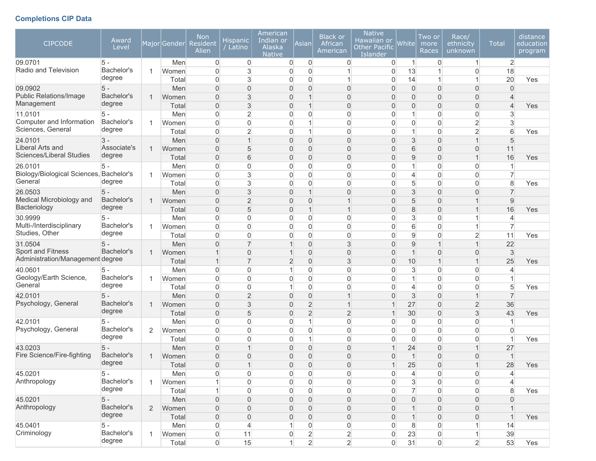## **Completions CIP Data**

| $\overline{2}$<br>Men<br>0<br>0<br>0<br>$\overline{0}$<br>0<br>0<br>0<br>$\vert$<br>$\mathbf{1}$<br>Radio and Television<br>Bachelor's<br>18<br>$\overline{0}$<br>3<br>$\overline{0}$<br>13<br>$\overline{0}$<br>Women<br>0<br>0<br>degree<br>3<br>$\overline{0}$<br>$\overline{0}$<br>14<br>20<br>0<br>0<br>1<br>1<br>Yes<br>Total<br>09.0902<br>$5 -$<br>$\overline{0}$<br>$\overline{0}$<br>$\Omega$<br>$\overline{0}$<br>$\overline{0}$<br>Men<br>0<br>$\Omega$<br>0<br>$\Omega$<br>$\Omega$<br><b>Public Relations/Image</b><br>Bachelor's<br>3<br>$\overline{0}$<br>0<br>$\overline{0}$<br>$\mathbf{0}$<br>$\Omega$<br>0<br>Women<br>$\mathbf 1$<br>$\overline{0}$<br>1<br>Management<br>degree<br>3<br>$\boldsymbol{0}$<br>$\mathbf 0$<br>Total<br>0<br>$\mathbf{1}$<br>$\overline{0}$<br>0<br>0<br>0<br>$\overline{4}$<br>Yes<br>$\overline{0}$<br>$\overline{2}$<br>$\overline{0}$<br>$\boldsymbol{0}$<br>11.0101<br>$5 -$<br>Men<br>0<br>0<br>1<br>0<br>3<br>0<br>Computer and Information<br>Bachelor's<br>$\overline{0}$<br>0<br>$\overline{0}$<br>$\overline{c}$<br>0<br>1<br>0<br>0<br>$\Omega$<br>3<br>Women<br>Sciences, General<br>degree<br>$\overline{2}$<br>$\overline{2}$<br>6<br>$\overline{0}$<br>$\mathbf 0$<br>Total<br>0<br>1<br>$\Omega$<br>1<br>$\Omega$<br>Yes<br>$\overline{0}$<br>$\overline{0}$<br>3<br>24.0101<br>$3 -$<br>Men<br>$\mathbf{1}$<br>$\overline{0}$<br>$\Omega$<br>0<br>0<br>1<br>5<br>Liberal Arts and<br>Associate's<br>5<br>6<br>Women<br>$\mathbf{0}$<br>0<br>$\overline{0}$<br>0<br>$\overline{0}$<br>0<br>11<br>$\Omega$<br>1<br>Sciences/Liberal Studies<br>degree<br>6<br>9<br>$\boldsymbol{0}$<br>$\boldsymbol{0}$<br>$\mathbf 0$<br>16<br>Total<br>0<br>$\overline{0}$<br>0<br>1<br>Yes<br>0<br>0<br>0<br>$\overline{0}$<br>$\mathbf 0$<br>0<br>$\overline{0}$<br>26.0101<br>$5 -$<br>Men<br>0<br>1<br>$\mathbf{1}$<br>Biology/Biological Sciences, Bachelor's<br>$\overline{0}$<br>3<br>$\overline{0}$<br>0<br>$\overline{0}$<br>$\overline{7}$<br>Women<br>0<br>0<br>4<br>0<br>General<br>degree<br>3<br>5<br>$\mathbf 0$<br>$\overline{0}$<br>0<br>$\overline{0}$<br>8<br>Total<br>0<br>0<br>0<br>Yes<br>3<br>$\overline{0}$<br>$\overline{0}$<br>3<br>26.0503<br>$5 -$<br>Men<br>0<br>$\mathbf{1}$<br>$\Omega$<br>$\Omega$<br>0<br>Medical Microbiology and<br>Bachelor's<br>$\overline{2}$<br>$9$<br>$\mathbf{0}$<br>0<br>$\Omega$<br>$\overline{0}$<br>5<br>$\Omega$<br>Women<br>1<br>1<br>Bacteriology<br>degree<br>5<br>$\boldsymbol{0}$<br>8<br>Total<br>0<br>$\mathbf{1}$<br>$\overline{0}$<br>0<br>1<br>16<br>1<br>Yes<br>30.9999<br>$\overline{0}$<br>0<br>3<br>5 -<br>Men<br>0<br>$\overline{0}$<br>0<br>$\mathbf{0}$<br>0<br>1<br>4<br>Multi-/Interdisciplinary<br>Bachelor's<br>$\overline{0}$<br>0<br>$\overline{0}$<br>6<br>0<br>0<br>0<br>0<br>Women<br>1<br>Studies, Other<br>degree<br>9<br>$\overline{0}$<br>$\mathbf 0$<br>$\Omega$<br>$\mathbf 0$<br>$\overline{2}$<br>11<br>0<br>$\Omega$<br>0<br>Yes<br>Total<br>$\overline{7}$<br>$\overline{0}$<br>3<br>9<br>22<br>31.0504<br>$5 -$<br>Men<br>$\Omega$<br>$\Omega$<br>$\mathbf 1$<br>1<br>1<br>Sport and Fitness<br>Bachelor's<br>$\mathbf 0$<br>3<br>0<br>$\mathbf{0}$<br>$\mathbf 1$<br>$\overline{0}$<br>0<br>Women<br>$\overline{0}$<br>1<br>Administration/Management degree<br>$\overline{7}$<br>3<br>$\overline{c}$<br>$\boldsymbol{0}$<br>10<br>$\mathbf{1}$<br>25<br>Total<br>$\overline{0}$<br>$\mathbf 1$<br>Yes<br>1<br>$\overline{0}$<br>0<br>$\overline{0}$<br>$\mathbf 0$<br>3<br>0<br>$\overline{0}$<br>40.0601<br>5 -<br>Men<br>1<br>0<br>4<br>Geology/Earth Science,<br>Bachelor's<br>$\overline{0}$<br>0<br>$\overline{0}$<br>0<br>0<br>$\overline{0}$<br>Women<br>0<br>0<br>1<br>General<br>degree<br>5<br>$\overline{0}$<br>0<br>$\overline{0}$<br>0<br>$\overline{0}$<br>$\mathbf{0}$<br>4<br>0<br>Yes<br>Total<br>1<br>$5 -$<br>$\overline{0}$<br>$\overline{2}$<br>$\overline{0}$<br>3<br>42.0101<br>Men<br>0<br>$\Omega$<br>$\Omega$<br>1<br>7<br>Psychology, General<br>Bachelor's<br>3<br>$\overline{2}$<br>36<br>$\overline{0}$<br>$\overline{2}$<br>0<br>27<br>0<br>Women<br>1<br>degree<br>$\overline{2}$<br>$\boldsymbol{0}$<br>5<br>$\overline{2}$<br>3<br>43<br>Total<br>0<br>30<br>0<br>Yes<br>1<br>42.0101<br>$5 -$<br>$\overline{0}$<br>0<br>$\mathbf 0$<br>Men<br>0<br>$\mathbf{1}$<br>0<br>0<br>0<br>$\overline{0}$<br>Psychology, General<br>Bachelor's<br>$\overline{0}$<br>0<br>$\overline{0}$<br>$\mathbf 0$<br>$\overline{0}$<br>Women<br>0<br>0<br>0<br>$\overline{0}$<br>$\Omega$<br>2<br>degree<br>$\overline{0}$<br>$\mathbf 0$<br>$\mathbf 0$<br>$\Omega$<br>0<br>1<br>$\Omega$<br>0<br>$\overline{0}$<br>$\overline{1}$<br>Yes<br>Total<br>$5 -$<br>43.0203<br>Men<br>$\mathbf{0}$<br>0<br>$\mathbf{0}$<br>$\overline{0}$<br>24<br>0<br>27<br>$\mathbf 1$<br>1<br>Fire Science/Fire-fighting<br>Bachelor's<br>$\overline{0}$<br>$\overline{0}$<br>0<br>0<br>0<br>$\mathbf{1}$<br>0<br>0<br>Women<br>0<br>degree<br>$\overline{0}$<br>$\Omega$<br>$\Omega$<br>$\overline{1}$<br>$\Omega$<br>25<br>$\Omega$<br>28<br>Total<br>1<br>Yes<br>45.0201<br>$5 -$<br>$\boldsymbol{0}$<br>Men<br>0<br>0<br>0<br>0<br>0<br>$\overline{4}$<br>0<br>$\overline{0}$<br>4<br>Bachelor's<br>Anthropology<br>$\mathsf{O}\xspace$<br>3<br>$\mathsf{O}\xspace$<br>$\mathsf{O}\xspace$<br>$\mathbf 0$<br>$\mathsf{O}\xspace$<br>$\boldsymbol{0}$<br>Women<br>$\boldsymbol{0}$<br>$\overline{4}$<br>1<br>degree<br>$\overline{7}$<br>$\mathsf{O}\xspace$<br>$\mathsf{O}\xspace$<br>$\mathbf 0$<br>8<br>$\mathbf{1}$<br>0<br>$\boldsymbol{0}$<br>0<br>$\mathsf{O}\xspace$<br>Yes<br>Total<br>$5 -$<br>45.0201<br>Men<br>$\boldsymbol{0}$<br>0<br>0<br>$\mathsf{O}\xspace$<br>$\mathbf 0$<br>0<br>$\mathsf{O}\xspace$<br>$\boldsymbol{0}$<br>$\overline{0}$<br>0<br>Anthropology<br>Bachelor's<br>$\boldsymbol{0}$<br>0<br>$\mathsf{O}$<br>$\mathbf 0$<br>$\mathsf{O}\xspace$<br>$\overline{2}$<br>Women<br>0<br>$\overline{0}$<br>$\mathbf{1}$<br>0<br>degree<br>Total<br>$\boldsymbol{0}$<br>$\mathsf{O}\xspace$<br>0<br>$\mathsf{O}\xspace$<br>$\mathsf{O}\xspace$<br>$\mathsf{O}\xspace$<br>$\overline{0}$<br>$\mathbf{1}$<br>0<br>$\overline{1}$<br>Yes<br>45.0401<br>$5 -$<br>0<br>$\mathsf{O}\xspace$<br>0<br>8<br>0<br>Men<br>4<br>1<br>$\overline{0}$<br>$\mathbf{1}$<br>14<br>$\mathsf{O}\xspace$<br>$\overline{c}$<br>0<br>$\overline{0}$ | <b>CIPCODE</b> | Award<br>Level |              | Major Gender | <b>Non</b><br><b>Resident</b><br>Alien | <b>Hispanic</b><br>Latino | American<br>Indian or<br>Alaska<br><b>Native</b> | Asian | <b>Black or</b><br>African<br>American | <b>Native</b><br>Hawaiian or<br><b>Other Pacific</b><br>Islander | White | Two or<br>more<br>Races | Race/<br>ethnicity<br>unknown | <b>Total</b> | distance<br>education<br>program |
|-------------------------------------------------------------------------------------------------------------------------------------------------------------------------------------------------------------------------------------------------------------------------------------------------------------------------------------------------------------------------------------------------------------------------------------------------------------------------------------------------------------------------------------------------------------------------------------------------------------------------------------------------------------------------------------------------------------------------------------------------------------------------------------------------------------------------------------------------------------------------------------------------------------------------------------------------------------------------------------------------------------------------------------------------------------------------------------------------------------------------------------------------------------------------------------------------------------------------------------------------------------------------------------------------------------------------------------------------------------------------------------------------------------------------------------------------------------------------------------------------------------------------------------------------------------------------------------------------------------------------------------------------------------------------------------------------------------------------------------------------------------------------------------------------------------------------------------------------------------------------------------------------------------------------------------------------------------------------------------------------------------------------------------------------------------------------------------------------------------------------------------------------------------------------------------------------------------------------------------------------------------------------------------------------------------------------------------------------------------------------------------------------------------------------------------------------------------------------------------------------------------------------------------------------------------------------------------------------------------------------------------------------------------------------------------------------------------------------------------------------------------------------------------------------------------------------------------------------------------------------------------------------------------------------------------------------------------------------------------------------------------------------------------------------------------------------------------------------------------------------------------------------------------------------------------------------------------------------------------------------------------------------------------------------------------------------------------------------------------------------------------------------------------------------------------------------------------------------------------------------------------------------------------------------------------------------------------------------------------------------------------------------------------------------------------------------------------------------------------------------------------------------------------------------------------------------------------------------------------------------------------------------------------------------------------------------------------------------------------------------------------------------------------------------------------------------------------------------------------------------------------------------------------------------------------------------------------------------------------------------------------------------------------------------------------------------------------------------------------------------------------------------------------------------------------------------------------------------------------------------------------------------------------------------------------------------------------------------------------------------------------------------------------------------------------------------------------------------------------------------------------------------------------------------------------------------------------------------------------------------------------------------------------------------------------------------------------------------------------------------------------------------------------------------------------------------------------------------------------------------------------------------------------------------------------------------------------------------------------------------------------------------------------------------------------------------------------------------------------------------------------------------------------------------------------------------------------------------------------------------------------------------------------------------------------------------------------------------------------------------------------------------------------------------------------------------------------------------------------------------------------------------------------------------------------------------------------------------------------------------------------------------------------------------------------------------------------------------------------------------------------------------------------------------------------------------------------------------------------------------------------------------------------------------------------------------------------------------------------------------------------------------------------------------------------------------------------------------------------------------------------------------------------------|----------------|----------------|--------------|--------------|----------------------------------------|---------------------------|--------------------------------------------------|-------|----------------------------------------|------------------------------------------------------------------|-------|-------------------------|-------------------------------|--------------|----------------------------------|
|                                                                                                                                                                                                                                                                                                                                                                                                                                                                                                                                                                                                                                                                                                                                                                                                                                                                                                                                                                                                                                                                                                                                                                                                                                                                                                                                                                                                                                                                                                                                                                                                                                                                                                                                                                                                                                                                                                                                                                                                                                                                                                                                                                                                                                                                                                                                                                                                                                                                                                                                                                                                                                                                                                                                                                                                                                                                                                                                                                                                                                                                                                                                                                                                                                                                                                                                                                                                                                                                                                                                                                                                                                                                                                                                                                                                                                                                                                                                                                                                                                                                                                                                                                                                                                                                                                                                                                                                                                                                                                                                                                                                                                                                                                                                                                                                                                                                                                                                                                                                                                                                                                                                                                                                                                                                                                                                                                                                                                                                                                                                                                                                                                                                                                                                                                                                                                                                                                                                                                                                                                                                                                                                                                                                                                                                                                                                                                                                                   | 09.0701        | $5 -$          |              |              |                                        |                           |                                                  |       |                                        |                                                                  |       |                         |                               |              |                                  |
|                                                                                                                                                                                                                                                                                                                                                                                                                                                                                                                                                                                                                                                                                                                                                                                                                                                                                                                                                                                                                                                                                                                                                                                                                                                                                                                                                                                                                                                                                                                                                                                                                                                                                                                                                                                                                                                                                                                                                                                                                                                                                                                                                                                                                                                                                                                                                                                                                                                                                                                                                                                                                                                                                                                                                                                                                                                                                                                                                                                                                                                                                                                                                                                                                                                                                                                                                                                                                                                                                                                                                                                                                                                                                                                                                                                                                                                                                                                                                                                                                                                                                                                                                                                                                                                                                                                                                                                                                                                                                                                                                                                                                                                                                                                                                                                                                                                                                                                                                                                                                                                                                                                                                                                                                                                                                                                                                                                                                                                                                                                                                                                                                                                                                                                                                                                                                                                                                                                                                                                                                                                                                                                                                                                                                                                                                                                                                                                                                   |                |                |              |              |                                        |                           |                                                  |       |                                        |                                                                  |       |                         |                               |              |                                  |
|                                                                                                                                                                                                                                                                                                                                                                                                                                                                                                                                                                                                                                                                                                                                                                                                                                                                                                                                                                                                                                                                                                                                                                                                                                                                                                                                                                                                                                                                                                                                                                                                                                                                                                                                                                                                                                                                                                                                                                                                                                                                                                                                                                                                                                                                                                                                                                                                                                                                                                                                                                                                                                                                                                                                                                                                                                                                                                                                                                                                                                                                                                                                                                                                                                                                                                                                                                                                                                                                                                                                                                                                                                                                                                                                                                                                                                                                                                                                                                                                                                                                                                                                                                                                                                                                                                                                                                                                                                                                                                                                                                                                                                                                                                                                                                                                                                                                                                                                                                                                                                                                                                                                                                                                                                                                                                                                                                                                                                                                                                                                                                                                                                                                                                                                                                                                                                                                                                                                                                                                                                                                                                                                                                                                                                                                                                                                                                                                                   |                |                |              |              |                                        |                           |                                                  |       |                                        |                                                                  |       |                         |                               |              |                                  |
|                                                                                                                                                                                                                                                                                                                                                                                                                                                                                                                                                                                                                                                                                                                                                                                                                                                                                                                                                                                                                                                                                                                                                                                                                                                                                                                                                                                                                                                                                                                                                                                                                                                                                                                                                                                                                                                                                                                                                                                                                                                                                                                                                                                                                                                                                                                                                                                                                                                                                                                                                                                                                                                                                                                                                                                                                                                                                                                                                                                                                                                                                                                                                                                                                                                                                                                                                                                                                                                                                                                                                                                                                                                                                                                                                                                                                                                                                                                                                                                                                                                                                                                                                                                                                                                                                                                                                                                                                                                                                                                                                                                                                                                                                                                                                                                                                                                                                                                                                                                                                                                                                                                                                                                                                                                                                                                                                                                                                                                                                                                                                                                                                                                                                                                                                                                                                                                                                                                                                                                                                                                                                                                                                                                                                                                                                                                                                                                                                   |                |                |              |              |                                        |                           |                                                  |       |                                        |                                                                  |       |                         |                               |              |                                  |
|                                                                                                                                                                                                                                                                                                                                                                                                                                                                                                                                                                                                                                                                                                                                                                                                                                                                                                                                                                                                                                                                                                                                                                                                                                                                                                                                                                                                                                                                                                                                                                                                                                                                                                                                                                                                                                                                                                                                                                                                                                                                                                                                                                                                                                                                                                                                                                                                                                                                                                                                                                                                                                                                                                                                                                                                                                                                                                                                                                                                                                                                                                                                                                                                                                                                                                                                                                                                                                                                                                                                                                                                                                                                                                                                                                                                                                                                                                                                                                                                                                                                                                                                                                                                                                                                                                                                                                                                                                                                                                                                                                                                                                                                                                                                                                                                                                                                                                                                                                                                                                                                                                                                                                                                                                                                                                                                                                                                                                                                                                                                                                                                                                                                                                                                                                                                                                                                                                                                                                                                                                                                                                                                                                                                                                                                                                                                                                                                                   |                |                |              |              |                                        |                           |                                                  |       |                                        |                                                                  |       |                         |                               |              |                                  |
|                                                                                                                                                                                                                                                                                                                                                                                                                                                                                                                                                                                                                                                                                                                                                                                                                                                                                                                                                                                                                                                                                                                                                                                                                                                                                                                                                                                                                                                                                                                                                                                                                                                                                                                                                                                                                                                                                                                                                                                                                                                                                                                                                                                                                                                                                                                                                                                                                                                                                                                                                                                                                                                                                                                                                                                                                                                                                                                                                                                                                                                                                                                                                                                                                                                                                                                                                                                                                                                                                                                                                                                                                                                                                                                                                                                                                                                                                                                                                                                                                                                                                                                                                                                                                                                                                                                                                                                                                                                                                                                                                                                                                                                                                                                                                                                                                                                                                                                                                                                                                                                                                                                                                                                                                                                                                                                                                                                                                                                                                                                                                                                                                                                                                                                                                                                                                                                                                                                                                                                                                                                                                                                                                                                                                                                                                                                                                                                                                   |                |                |              |              |                                        |                           |                                                  |       |                                        |                                                                  |       |                         |                               |              |                                  |
|                                                                                                                                                                                                                                                                                                                                                                                                                                                                                                                                                                                                                                                                                                                                                                                                                                                                                                                                                                                                                                                                                                                                                                                                                                                                                                                                                                                                                                                                                                                                                                                                                                                                                                                                                                                                                                                                                                                                                                                                                                                                                                                                                                                                                                                                                                                                                                                                                                                                                                                                                                                                                                                                                                                                                                                                                                                                                                                                                                                                                                                                                                                                                                                                                                                                                                                                                                                                                                                                                                                                                                                                                                                                                                                                                                                                                                                                                                                                                                                                                                                                                                                                                                                                                                                                                                                                                                                                                                                                                                                                                                                                                                                                                                                                                                                                                                                                                                                                                                                                                                                                                                                                                                                                                                                                                                                                                                                                                                                                                                                                                                                                                                                                                                                                                                                                                                                                                                                                                                                                                                                                                                                                                                                                                                                                                                                                                                                                                   |                |                |              |              |                                        |                           |                                                  |       |                                        |                                                                  |       |                         |                               |              |                                  |
|                                                                                                                                                                                                                                                                                                                                                                                                                                                                                                                                                                                                                                                                                                                                                                                                                                                                                                                                                                                                                                                                                                                                                                                                                                                                                                                                                                                                                                                                                                                                                                                                                                                                                                                                                                                                                                                                                                                                                                                                                                                                                                                                                                                                                                                                                                                                                                                                                                                                                                                                                                                                                                                                                                                                                                                                                                                                                                                                                                                                                                                                                                                                                                                                                                                                                                                                                                                                                                                                                                                                                                                                                                                                                                                                                                                                                                                                                                                                                                                                                                                                                                                                                                                                                                                                                                                                                                                                                                                                                                                                                                                                                                                                                                                                                                                                                                                                                                                                                                                                                                                                                                                                                                                                                                                                                                                                                                                                                                                                                                                                                                                                                                                                                                                                                                                                                                                                                                                                                                                                                                                                                                                                                                                                                                                                                                                                                                                                                   |                |                |              |              |                                        |                           |                                                  |       |                                        |                                                                  |       |                         |                               |              |                                  |
|                                                                                                                                                                                                                                                                                                                                                                                                                                                                                                                                                                                                                                                                                                                                                                                                                                                                                                                                                                                                                                                                                                                                                                                                                                                                                                                                                                                                                                                                                                                                                                                                                                                                                                                                                                                                                                                                                                                                                                                                                                                                                                                                                                                                                                                                                                                                                                                                                                                                                                                                                                                                                                                                                                                                                                                                                                                                                                                                                                                                                                                                                                                                                                                                                                                                                                                                                                                                                                                                                                                                                                                                                                                                                                                                                                                                                                                                                                                                                                                                                                                                                                                                                                                                                                                                                                                                                                                                                                                                                                                                                                                                                                                                                                                                                                                                                                                                                                                                                                                                                                                                                                                                                                                                                                                                                                                                                                                                                                                                                                                                                                                                                                                                                                                                                                                                                                                                                                                                                                                                                                                                                                                                                                                                                                                                                                                                                                                                                   |                |                |              |              |                                        |                           |                                                  |       |                                        |                                                                  |       |                         |                               |              |                                  |
|                                                                                                                                                                                                                                                                                                                                                                                                                                                                                                                                                                                                                                                                                                                                                                                                                                                                                                                                                                                                                                                                                                                                                                                                                                                                                                                                                                                                                                                                                                                                                                                                                                                                                                                                                                                                                                                                                                                                                                                                                                                                                                                                                                                                                                                                                                                                                                                                                                                                                                                                                                                                                                                                                                                                                                                                                                                                                                                                                                                                                                                                                                                                                                                                                                                                                                                                                                                                                                                                                                                                                                                                                                                                                                                                                                                                                                                                                                                                                                                                                                                                                                                                                                                                                                                                                                                                                                                                                                                                                                                                                                                                                                                                                                                                                                                                                                                                                                                                                                                                                                                                                                                                                                                                                                                                                                                                                                                                                                                                                                                                                                                                                                                                                                                                                                                                                                                                                                                                                                                                                                                                                                                                                                                                                                                                                                                                                                                                                   |                |                |              |              |                                        |                           |                                                  |       |                                        |                                                                  |       |                         |                               |              |                                  |
|                                                                                                                                                                                                                                                                                                                                                                                                                                                                                                                                                                                                                                                                                                                                                                                                                                                                                                                                                                                                                                                                                                                                                                                                                                                                                                                                                                                                                                                                                                                                                                                                                                                                                                                                                                                                                                                                                                                                                                                                                                                                                                                                                                                                                                                                                                                                                                                                                                                                                                                                                                                                                                                                                                                                                                                                                                                                                                                                                                                                                                                                                                                                                                                                                                                                                                                                                                                                                                                                                                                                                                                                                                                                                                                                                                                                                                                                                                                                                                                                                                                                                                                                                                                                                                                                                                                                                                                                                                                                                                                                                                                                                                                                                                                                                                                                                                                                                                                                                                                                                                                                                                                                                                                                                                                                                                                                                                                                                                                                                                                                                                                                                                                                                                                                                                                                                                                                                                                                                                                                                                                                                                                                                                                                                                                                                                                                                                                                                   |                |                |              |              |                                        |                           |                                                  |       |                                        |                                                                  |       |                         |                               |              |                                  |
|                                                                                                                                                                                                                                                                                                                                                                                                                                                                                                                                                                                                                                                                                                                                                                                                                                                                                                                                                                                                                                                                                                                                                                                                                                                                                                                                                                                                                                                                                                                                                                                                                                                                                                                                                                                                                                                                                                                                                                                                                                                                                                                                                                                                                                                                                                                                                                                                                                                                                                                                                                                                                                                                                                                                                                                                                                                                                                                                                                                                                                                                                                                                                                                                                                                                                                                                                                                                                                                                                                                                                                                                                                                                                                                                                                                                                                                                                                                                                                                                                                                                                                                                                                                                                                                                                                                                                                                                                                                                                                                                                                                                                                                                                                                                                                                                                                                                                                                                                                                                                                                                                                                                                                                                                                                                                                                                                                                                                                                                                                                                                                                                                                                                                                                                                                                                                                                                                                                                                                                                                                                                                                                                                                                                                                                                                                                                                                                                                   |                |                |              |              |                                        |                           |                                                  |       |                                        |                                                                  |       |                         |                               |              |                                  |
|                                                                                                                                                                                                                                                                                                                                                                                                                                                                                                                                                                                                                                                                                                                                                                                                                                                                                                                                                                                                                                                                                                                                                                                                                                                                                                                                                                                                                                                                                                                                                                                                                                                                                                                                                                                                                                                                                                                                                                                                                                                                                                                                                                                                                                                                                                                                                                                                                                                                                                                                                                                                                                                                                                                                                                                                                                                                                                                                                                                                                                                                                                                                                                                                                                                                                                                                                                                                                                                                                                                                                                                                                                                                                                                                                                                                                                                                                                                                                                                                                                                                                                                                                                                                                                                                                                                                                                                                                                                                                                                                                                                                                                                                                                                                                                                                                                                                                                                                                                                                                                                                                                                                                                                                                                                                                                                                                                                                                                                                                                                                                                                                                                                                                                                                                                                                                                                                                                                                                                                                                                                                                                                                                                                                                                                                                                                                                                                                                   |                |                |              |              |                                        |                           |                                                  |       |                                        |                                                                  |       |                         |                               |              |                                  |
|                                                                                                                                                                                                                                                                                                                                                                                                                                                                                                                                                                                                                                                                                                                                                                                                                                                                                                                                                                                                                                                                                                                                                                                                                                                                                                                                                                                                                                                                                                                                                                                                                                                                                                                                                                                                                                                                                                                                                                                                                                                                                                                                                                                                                                                                                                                                                                                                                                                                                                                                                                                                                                                                                                                                                                                                                                                                                                                                                                                                                                                                                                                                                                                                                                                                                                                                                                                                                                                                                                                                                                                                                                                                                                                                                                                                                                                                                                                                                                                                                                                                                                                                                                                                                                                                                                                                                                                                                                                                                                                                                                                                                                                                                                                                                                                                                                                                                                                                                                                                                                                                                                                                                                                                                                                                                                                                                                                                                                                                                                                                                                                                                                                                                                                                                                                                                                                                                                                                                                                                                                                                                                                                                                                                                                                                                                                                                                                                                   |                |                |              |              |                                        |                           |                                                  |       |                                        |                                                                  |       |                         |                               |              |                                  |
|                                                                                                                                                                                                                                                                                                                                                                                                                                                                                                                                                                                                                                                                                                                                                                                                                                                                                                                                                                                                                                                                                                                                                                                                                                                                                                                                                                                                                                                                                                                                                                                                                                                                                                                                                                                                                                                                                                                                                                                                                                                                                                                                                                                                                                                                                                                                                                                                                                                                                                                                                                                                                                                                                                                                                                                                                                                                                                                                                                                                                                                                                                                                                                                                                                                                                                                                                                                                                                                                                                                                                                                                                                                                                                                                                                                                                                                                                                                                                                                                                                                                                                                                                                                                                                                                                                                                                                                                                                                                                                                                                                                                                                                                                                                                                                                                                                                                                                                                                                                                                                                                                                                                                                                                                                                                                                                                                                                                                                                                                                                                                                                                                                                                                                                                                                                                                                                                                                                                                                                                                                                                                                                                                                                                                                                                                                                                                                                                                   |                |                |              |              |                                        |                           |                                                  |       |                                        |                                                                  |       |                         |                               |              |                                  |
|                                                                                                                                                                                                                                                                                                                                                                                                                                                                                                                                                                                                                                                                                                                                                                                                                                                                                                                                                                                                                                                                                                                                                                                                                                                                                                                                                                                                                                                                                                                                                                                                                                                                                                                                                                                                                                                                                                                                                                                                                                                                                                                                                                                                                                                                                                                                                                                                                                                                                                                                                                                                                                                                                                                                                                                                                                                                                                                                                                                                                                                                                                                                                                                                                                                                                                                                                                                                                                                                                                                                                                                                                                                                                                                                                                                                                                                                                                                                                                                                                                                                                                                                                                                                                                                                                                                                                                                                                                                                                                                                                                                                                                                                                                                                                                                                                                                                                                                                                                                                                                                                                                                                                                                                                                                                                                                                                                                                                                                                                                                                                                                                                                                                                                                                                                                                                                                                                                                                                                                                                                                                                                                                                                                                                                                                                                                                                                                                                   |                |                |              |              |                                        |                           |                                                  |       |                                        |                                                                  |       |                         |                               |              |                                  |
|                                                                                                                                                                                                                                                                                                                                                                                                                                                                                                                                                                                                                                                                                                                                                                                                                                                                                                                                                                                                                                                                                                                                                                                                                                                                                                                                                                                                                                                                                                                                                                                                                                                                                                                                                                                                                                                                                                                                                                                                                                                                                                                                                                                                                                                                                                                                                                                                                                                                                                                                                                                                                                                                                                                                                                                                                                                                                                                                                                                                                                                                                                                                                                                                                                                                                                                                                                                                                                                                                                                                                                                                                                                                                                                                                                                                                                                                                                                                                                                                                                                                                                                                                                                                                                                                                                                                                                                                                                                                                                                                                                                                                                                                                                                                                                                                                                                                                                                                                                                                                                                                                                                                                                                                                                                                                                                                                                                                                                                                                                                                                                                                                                                                                                                                                                                                                                                                                                                                                                                                                                                                                                                                                                                                                                                                                                                                                                                                                   |                |                |              |              |                                        |                           |                                                  |       |                                        |                                                                  |       |                         |                               |              |                                  |
|                                                                                                                                                                                                                                                                                                                                                                                                                                                                                                                                                                                                                                                                                                                                                                                                                                                                                                                                                                                                                                                                                                                                                                                                                                                                                                                                                                                                                                                                                                                                                                                                                                                                                                                                                                                                                                                                                                                                                                                                                                                                                                                                                                                                                                                                                                                                                                                                                                                                                                                                                                                                                                                                                                                                                                                                                                                                                                                                                                                                                                                                                                                                                                                                                                                                                                                                                                                                                                                                                                                                                                                                                                                                                                                                                                                                                                                                                                                                                                                                                                                                                                                                                                                                                                                                                                                                                                                                                                                                                                                                                                                                                                                                                                                                                                                                                                                                                                                                                                                                                                                                                                                                                                                                                                                                                                                                                                                                                                                                                                                                                                                                                                                                                                                                                                                                                                                                                                                                                                                                                                                                                                                                                                                                                                                                                                                                                                                                                   |                |                |              |              |                                        |                           |                                                  |       |                                        |                                                                  |       |                         |                               |              |                                  |
|                                                                                                                                                                                                                                                                                                                                                                                                                                                                                                                                                                                                                                                                                                                                                                                                                                                                                                                                                                                                                                                                                                                                                                                                                                                                                                                                                                                                                                                                                                                                                                                                                                                                                                                                                                                                                                                                                                                                                                                                                                                                                                                                                                                                                                                                                                                                                                                                                                                                                                                                                                                                                                                                                                                                                                                                                                                                                                                                                                                                                                                                                                                                                                                                                                                                                                                                                                                                                                                                                                                                                                                                                                                                                                                                                                                                                                                                                                                                                                                                                                                                                                                                                                                                                                                                                                                                                                                                                                                                                                                                                                                                                                                                                                                                                                                                                                                                                                                                                                                                                                                                                                                                                                                                                                                                                                                                                                                                                                                                                                                                                                                                                                                                                                                                                                                                                                                                                                                                                                                                                                                                                                                                                                                                                                                                                                                                                                                                                   |                |                |              |              |                                        |                           |                                                  |       |                                        |                                                                  |       |                         |                               |              |                                  |
|                                                                                                                                                                                                                                                                                                                                                                                                                                                                                                                                                                                                                                                                                                                                                                                                                                                                                                                                                                                                                                                                                                                                                                                                                                                                                                                                                                                                                                                                                                                                                                                                                                                                                                                                                                                                                                                                                                                                                                                                                                                                                                                                                                                                                                                                                                                                                                                                                                                                                                                                                                                                                                                                                                                                                                                                                                                                                                                                                                                                                                                                                                                                                                                                                                                                                                                                                                                                                                                                                                                                                                                                                                                                                                                                                                                                                                                                                                                                                                                                                                                                                                                                                                                                                                                                                                                                                                                                                                                                                                                                                                                                                                                                                                                                                                                                                                                                                                                                                                                                                                                                                                                                                                                                                                                                                                                                                                                                                                                                                                                                                                                                                                                                                                                                                                                                                                                                                                                                                                                                                                                                                                                                                                                                                                                                                                                                                                                                                   |                |                |              |              |                                        |                           |                                                  |       |                                        |                                                                  |       |                         |                               |              |                                  |
|                                                                                                                                                                                                                                                                                                                                                                                                                                                                                                                                                                                                                                                                                                                                                                                                                                                                                                                                                                                                                                                                                                                                                                                                                                                                                                                                                                                                                                                                                                                                                                                                                                                                                                                                                                                                                                                                                                                                                                                                                                                                                                                                                                                                                                                                                                                                                                                                                                                                                                                                                                                                                                                                                                                                                                                                                                                                                                                                                                                                                                                                                                                                                                                                                                                                                                                                                                                                                                                                                                                                                                                                                                                                                                                                                                                                                                                                                                                                                                                                                                                                                                                                                                                                                                                                                                                                                                                                                                                                                                                                                                                                                                                                                                                                                                                                                                                                                                                                                                                                                                                                                                                                                                                                                                                                                                                                                                                                                                                                                                                                                                                                                                                                                                                                                                                                                                                                                                                                                                                                                                                                                                                                                                                                                                                                                                                                                                                                                   |                |                |              |              |                                        |                           |                                                  |       |                                        |                                                                  |       |                         |                               |              |                                  |
|                                                                                                                                                                                                                                                                                                                                                                                                                                                                                                                                                                                                                                                                                                                                                                                                                                                                                                                                                                                                                                                                                                                                                                                                                                                                                                                                                                                                                                                                                                                                                                                                                                                                                                                                                                                                                                                                                                                                                                                                                                                                                                                                                                                                                                                                                                                                                                                                                                                                                                                                                                                                                                                                                                                                                                                                                                                                                                                                                                                                                                                                                                                                                                                                                                                                                                                                                                                                                                                                                                                                                                                                                                                                                                                                                                                                                                                                                                                                                                                                                                                                                                                                                                                                                                                                                                                                                                                                                                                                                                                                                                                                                                                                                                                                                                                                                                                                                                                                                                                                                                                                                                                                                                                                                                                                                                                                                                                                                                                                                                                                                                                                                                                                                                                                                                                                                                                                                                                                                                                                                                                                                                                                                                                                                                                                                                                                                                                                                   |                |                |              |              |                                        |                           |                                                  |       |                                        |                                                                  |       |                         |                               |              |                                  |
|                                                                                                                                                                                                                                                                                                                                                                                                                                                                                                                                                                                                                                                                                                                                                                                                                                                                                                                                                                                                                                                                                                                                                                                                                                                                                                                                                                                                                                                                                                                                                                                                                                                                                                                                                                                                                                                                                                                                                                                                                                                                                                                                                                                                                                                                                                                                                                                                                                                                                                                                                                                                                                                                                                                                                                                                                                                                                                                                                                                                                                                                                                                                                                                                                                                                                                                                                                                                                                                                                                                                                                                                                                                                                                                                                                                                                                                                                                                                                                                                                                                                                                                                                                                                                                                                                                                                                                                                                                                                                                                                                                                                                                                                                                                                                                                                                                                                                                                                                                                                                                                                                                                                                                                                                                                                                                                                                                                                                                                                                                                                                                                                                                                                                                                                                                                                                                                                                                                                                                                                                                                                                                                                                                                                                                                                                                                                                                                                                   |                |                |              |              |                                        |                           |                                                  |       |                                        |                                                                  |       |                         |                               |              |                                  |
|                                                                                                                                                                                                                                                                                                                                                                                                                                                                                                                                                                                                                                                                                                                                                                                                                                                                                                                                                                                                                                                                                                                                                                                                                                                                                                                                                                                                                                                                                                                                                                                                                                                                                                                                                                                                                                                                                                                                                                                                                                                                                                                                                                                                                                                                                                                                                                                                                                                                                                                                                                                                                                                                                                                                                                                                                                                                                                                                                                                                                                                                                                                                                                                                                                                                                                                                                                                                                                                                                                                                                                                                                                                                                                                                                                                                                                                                                                                                                                                                                                                                                                                                                                                                                                                                                                                                                                                                                                                                                                                                                                                                                                                                                                                                                                                                                                                                                                                                                                                                                                                                                                                                                                                                                                                                                                                                                                                                                                                                                                                                                                                                                                                                                                                                                                                                                                                                                                                                                                                                                                                                                                                                                                                                                                                                                                                                                                                                                   |                |                |              |              |                                        |                           |                                                  |       |                                        |                                                                  |       |                         |                               |              |                                  |
|                                                                                                                                                                                                                                                                                                                                                                                                                                                                                                                                                                                                                                                                                                                                                                                                                                                                                                                                                                                                                                                                                                                                                                                                                                                                                                                                                                                                                                                                                                                                                                                                                                                                                                                                                                                                                                                                                                                                                                                                                                                                                                                                                                                                                                                                                                                                                                                                                                                                                                                                                                                                                                                                                                                                                                                                                                                                                                                                                                                                                                                                                                                                                                                                                                                                                                                                                                                                                                                                                                                                                                                                                                                                                                                                                                                                                                                                                                                                                                                                                                                                                                                                                                                                                                                                                                                                                                                                                                                                                                                                                                                                                                                                                                                                                                                                                                                                                                                                                                                                                                                                                                                                                                                                                                                                                                                                                                                                                                                                                                                                                                                                                                                                                                                                                                                                                                                                                                                                                                                                                                                                                                                                                                                                                                                                                                                                                                                                                   |                |                |              |              |                                        |                           |                                                  |       |                                        |                                                                  |       |                         |                               |              |                                  |
|                                                                                                                                                                                                                                                                                                                                                                                                                                                                                                                                                                                                                                                                                                                                                                                                                                                                                                                                                                                                                                                                                                                                                                                                                                                                                                                                                                                                                                                                                                                                                                                                                                                                                                                                                                                                                                                                                                                                                                                                                                                                                                                                                                                                                                                                                                                                                                                                                                                                                                                                                                                                                                                                                                                                                                                                                                                                                                                                                                                                                                                                                                                                                                                                                                                                                                                                                                                                                                                                                                                                                                                                                                                                                                                                                                                                                                                                                                                                                                                                                                                                                                                                                                                                                                                                                                                                                                                                                                                                                                                                                                                                                                                                                                                                                                                                                                                                                                                                                                                                                                                                                                                                                                                                                                                                                                                                                                                                                                                                                                                                                                                                                                                                                                                                                                                                                                                                                                                                                                                                                                                                                                                                                                                                                                                                                                                                                                                                                   |                |                |              |              |                                        |                           |                                                  |       |                                        |                                                                  |       |                         |                               |              |                                  |
|                                                                                                                                                                                                                                                                                                                                                                                                                                                                                                                                                                                                                                                                                                                                                                                                                                                                                                                                                                                                                                                                                                                                                                                                                                                                                                                                                                                                                                                                                                                                                                                                                                                                                                                                                                                                                                                                                                                                                                                                                                                                                                                                                                                                                                                                                                                                                                                                                                                                                                                                                                                                                                                                                                                                                                                                                                                                                                                                                                                                                                                                                                                                                                                                                                                                                                                                                                                                                                                                                                                                                                                                                                                                                                                                                                                                                                                                                                                                                                                                                                                                                                                                                                                                                                                                                                                                                                                                                                                                                                                                                                                                                                                                                                                                                                                                                                                                                                                                                                                                                                                                                                                                                                                                                                                                                                                                                                                                                                                                                                                                                                                                                                                                                                                                                                                                                                                                                                                                                                                                                                                                                                                                                                                                                                                                                                                                                                                                                   |                |                |              |              |                                        |                           |                                                  |       |                                        |                                                                  |       |                         |                               |              |                                  |
|                                                                                                                                                                                                                                                                                                                                                                                                                                                                                                                                                                                                                                                                                                                                                                                                                                                                                                                                                                                                                                                                                                                                                                                                                                                                                                                                                                                                                                                                                                                                                                                                                                                                                                                                                                                                                                                                                                                                                                                                                                                                                                                                                                                                                                                                                                                                                                                                                                                                                                                                                                                                                                                                                                                                                                                                                                                                                                                                                                                                                                                                                                                                                                                                                                                                                                                                                                                                                                                                                                                                                                                                                                                                                                                                                                                                                                                                                                                                                                                                                                                                                                                                                                                                                                                                                                                                                                                                                                                                                                                                                                                                                                                                                                                                                                                                                                                                                                                                                                                                                                                                                                                                                                                                                                                                                                                                                                                                                                                                                                                                                                                                                                                                                                                                                                                                                                                                                                                                                                                                                                                                                                                                                                                                                                                                                                                                                                                                                   |                |                |              |              |                                        |                           |                                                  |       |                                        |                                                                  |       |                         |                               |              |                                  |
|                                                                                                                                                                                                                                                                                                                                                                                                                                                                                                                                                                                                                                                                                                                                                                                                                                                                                                                                                                                                                                                                                                                                                                                                                                                                                                                                                                                                                                                                                                                                                                                                                                                                                                                                                                                                                                                                                                                                                                                                                                                                                                                                                                                                                                                                                                                                                                                                                                                                                                                                                                                                                                                                                                                                                                                                                                                                                                                                                                                                                                                                                                                                                                                                                                                                                                                                                                                                                                                                                                                                                                                                                                                                                                                                                                                                                                                                                                                                                                                                                                                                                                                                                                                                                                                                                                                                                                                                                                                                                                                                                                                                                                                                                                                                                                                                                                                                                                                                                                                                                                                                                                                                                                                                                                                                                                                                                                                                                                                                                                                                                                                                                                                                                                                                                                                                                                                                                                                                                                                                                                                                                                                                                                                                                                                                                                                                                                                                                   |                |                |              |              |                                        |                           |                                                  |       |                                        |                                                                  |       |                         |                               |              |                                  |
|                                                                                                                                                                                                                                                                                                                                                                                                                                                                                                                                                                                                                                                                                                                                                                                                                                                                                                                                                                                                                                                                                                                                                                                                                                                                                                                                                                                                                                                                                                                                                                                                                                                                                                                                                                                                                                                                                                                                                                                                                                                                                                                                                                                                                                                                                                                                                                                                                                                                                                                                                                                                                                                                                                                                                                                                                                                                                                                                                                                                                                                                                                                                                                                                                                                                                                                                                                                                                                                                                                                                                                                                                                                                                                                                                                                                                                                                                                                                                                                                                                                                                                                                                                                                                                                                                                                                                                                                                                                                                                                                                                                                                                                                                                                                                                                                                                                                                                                                                                                                                                                                                                                                                                                                                                                                                                                                                                                                                                                                                                                                                                                                                                                                                                                                                                                                                                                                                                                                                                                                                                                                                                                                                                                                                                                                                                                                                                                                                   |                |                |              |              |                                        |                           |                                                  |       |                                        |                                                                  |       |                         |                               |              |                                  |
|                                                                                                                                                                                                                                                                                                                                                                                                                                                                                                                                                                                                                                                                                                                                                                                                                                                                                                                                                                                                                                                                                                                                                                                                                                                                                                                                                                                                                                                                                                                                                                                                                                                                                                                                                                                                                                                                                                                                                                                                                                                                                                                                                                                                                                                                                                                                                                                                                                                                                                                                                                                                                                                                                                                                                                                                                                                                                                                                                                                                                                                                                                                                                                                                                                                                                                                                                                                                                                                                                                                                                                                                                                                                                                                                                                                                                                                                                                                                                                                                                                                                                                                                                                                                                                                                                                                                                                                                                                                                                                                                                                                                                                                                                                                                                                                                                                                                                                                                                                                                                                                                                                                                                                                                                                                                                                                                                                                                                                                                                                                                                                                                                                                                                                                                                                                                                                                                                                                                                                                                                                                                                                                                                                                                                                                                                                                                                                                                                   |                |                |              |              |                                        |                           |                                                  |       |                                        |                                                                  |       |                         |                               |              |                                  |
|                                                                                                                                                                                                                                                                                                                                                                                                                                                                                                                                                                                                                                                                                                                                                                                                                                                                                                                                                                                                                                                                                                                                                                                                                                                                                                                                                                                                                                                                                                                                                                                                                                                                                                                                                                                                                                                                                                                                                                                                                                                                                                                                                                                                                                                                                                                                                                                                                                                                                                                                                                                                                                                                                                                                                                                                                                                                                                                                                                                                                                                                                                                                                                                                                                                                                                                                                                                                                                                                                                                                                                                                                                                                                                                                                                                                                                                                                                                                                                                                                                                                                                                                                                                                                                                                                                                                                                                                                                                                                                                                                                                                                                                                                                                                                                                                                                                                                                                                                                                                                                                                                                                                                                                                                                                                                                                                                                                                                                                                                                                                                                                                                                                                                                                                                                                                                                                                                                                                                                                                                                                                                                                                                                                                                                                                                                                                                                                                                   |                |                |              |              |                                        |                           |                                                  |       |                                        |                                                                  |       |                         |                               |              |                                  |
|                                                                                                                                                                                                                                                                                                                                                                                                                                                                                                                                                                                                                                                                                                                                                                                                                                                                                                                                                                                                                                                                                                                                                                                                                                                                                                                                                                                                                                                                                                                                                                                                                                                                                                                                                                                                                                                                                                                                                                                                                                                                                                                                                                                                                                                                                                                                                                                                                                                                                                                                                                                                                                                                                                                                                                                                                                                                                                                                                                                                                                                                                                                                                                                                                                                                                                                                                                                                                                                                                                                                                                                                                                                                                                                                                                                                                                                                                                                                                                                                                                                                                                                                                                                                                                                                                                                                                                                                                                                                                                                                                                                                                                                                                                                                                                                                                                                                                                                                                                                                                                                                                                                                                                                                                                                                                                                                                                                                                                                                                                                                                                                                                                                                                                                                                                                                                                                                                                                                                                                                                                                                                                                                                                                                                                                                                                                                                                                                                   |                |                |              |              |                                        |                           |                                                  |       |                                        |                                                                  |       |                         |                               |              |                                  |
|                                                                                                                                                                                                                                                                                                                                                                                                                                                                                                                                                                                                                                                                                                                                                                                                                                                                                                                                                                                                                                                                                                                                                                                                                                                                                                                                                                                                                                                                                                                                                                                                                                                                                                                                                                                                                                                                                                                                                                                                                                                                                                                                                                                                                                                                                                                                                                                                                                                                                                                                                                                                                                                                                                                                                                                                                                                                                                                                                                                                                                                                                                                                                                                                                                                                                                                                                                                                                                                                                                                                                                                                                                                                                                                                                                                                                                                                                                                                                                                                                                                                                                                                                                                                                                                                                                                                                                                                                                                                                                                                                                                                                                                                                                                                                                                                                                                                                                                                                                                                                                                                                                                                                                                                                                                                                                                                                                                                                                                                                                                                                                                                                                                                                                                                                                                                                                                                                                                                                                                                                                                                                                                                                                                                                                                                                                                                                                                                                   |                |                |              |              |                                        |                           |                                                  |       |                                        |                                                                  |       |                         |                               |              |                                  |
|                                                                                                                                                                                                                                                                                                                                                                                                                                                                                                                                                                                                                                                                                                                                                                                                                                                                                                                                                                                                                                                                                                                                                                                                                                                                                                                                                                                                                                                                                                                                                                                                                                                                                                                                                                                                                                                                                                                                                                                                                                                                                                                                                                                                                                                                                                                                                                                                                                                                                                                                                                                                                                                                                                                                                                                                                                                                                                                                                                                                                                                                                                                                                                                                                                                                                                                                                                                                                                                                                                                                                                                                                                                                                                                                                                                                                                                                                                                                                                                                                                                                                                                                                                                                                                                                                                                                                                                                                                                                                                                                                                                                                                                                                                                                                                                                                                                                                                                                                                                                                                                                                                                                                                                                                                                                                                                                                                                                                                                                                                                                                                                                                                                                                                                                                                                                                                                                                                                                                                                                                                                                                                                                                                                                                                                                                                                                                                                                                   |                |                |              |              |                                        |                           |                                                  |       |                                        |                                                                  |       |                         |                               |              |                                  |
|                                                                                                                                                                                                                                                                                                                                                                                                                                                                                                                                                                                                                                                                                                                                                                                                                                                                                                                                                                                                                                                                                                                                                                                                                                                                                                                                                                                                                                                                                                                                                                                                                                                                                                                                                                                                                                                                                                                                                                                                                                                                                                                                                                                                                                                                                                                                                                                                                                                                                                                                                                                                                                                                                                                                                                                                                                                                                                                                                                                                                                                                                                                                                                                                                                                                                                                                                                                                                                                                                                                                                                                                                                                                                                                                                                                                                                                                                                                                                                                                                                                                                                                                                                                                                                                                                                                                                                                                                                                                                                                                                                                                                                                                                                                                                                                                                                                                                                                                                                                                                                                                                                                                                                                                                                                                                                                                                                                                                                                                                                                                                                                                                                                                                                                                                                                                                                                                                                                                                                                                                                                                                                                                                                                                                                                                                                                                                                                                                   |                |                |              |              |                                        |                           |                                                  |       |                                        |                                                                  |       |                         |                               |              |                                  |
|                                                                                                                                                                                                                                                                                                                                                                                                                                                                                                                                                                                                                                                                                                                                                                                                                                                                                                                                                                                                                                                                                                                                                                                                                                                                                                                                                                                                                                                                                                                                                                                                                                                                                                                                                                                                                                                                                                                                                                                                                                                                                                                                                                                                                                                                                                                                                                                                                                                                                                                                                                                                                                                                                                                                                                                                                                                                                                                                                                                                                                                                                                                                                                                                                                                                                                                                                                                                                                                                                                                                                                                                                                                                                                                                                                                                                                                                                                                                                                                                                                                                                                                                                                                                                                                                                                                                                                                                                                                                                                                                                                                                                                                                                                                                                                                                                                                                                                                                                                                                                                                                                                                                                                                                                                                                                                                                                                                                                                                                                                                                                                                                                                                                                                                                                                                                                                                                                                                                                                                                                                                                                                                                                                                                                                                                                                                                                                                                                   |                |                |              |              |                                        |                           |                                                  |       |                                        |                                                                  |       |                         |                               |              |                                  |
|                                                                                                                                                                                                                                                                                                                                                                                                                                                                                                                                                                                                                                                                                                                                                                                                                                                                                                                                                                                                                                                                                                                                                                                                                                                                                                                                                                                                                                                                                                                                                                                                                                                                                                                                                                                                                                                                                                                                                                                                                                                                                                                                                                                                                                                                                                                                                                                                                                                                                                                                                                                                                                                                                                                                                                                                                                                                                                                                                                                                                                                                                                                                                                                                                                                                                                                                                                                                                                                                                                                                                                                                                                                                                                                                                                                                                                                                                                                                                                                                                                                                                                                                                                                                                                                                                                                                                                                                                                                                                                                                                                                                                                                                                                                                                                                                                                                                                                                                                                                                                                                                                                                                                                                                                                                                                                                                                                                                                                                                                                                                                                                                                                                                                                                                                                                                                                                                                                                                                                                                                                                                                                                                                                                                                                                                                                                                                                                                                   |                |                |              |              |                                        |                           |                                                  |       |                                        |                                                                  |       |                         |                               |              |                                  |
|                                                                                                                                                                                                                                                                                                                                                                                                                                                                                                                                                                                                                                                                                                                                                                                                                                                                                                                                                                                                                                                                                                                                                                                                                                                                                                                                                                                                                                                                                                                                                                                                                                                                                                                                                                                                                                                                                                                                                                                                                                                                                                                                                                                                                                                                                                                                                                                                                                                                                                                                                                                                                                                                                                                                                                                                                                                                                                                                                                                                                                                                                                                                                                                                                                                                                                                                                                                                                                                                                                                                                                                                                                                                                                                                                                                                                                                                                                                                                                                                                                                                                                                                                                                                                                                                                                                                                                                                                                                                                                                                                                                                                                                                                                                                                                                                                                                                                                                                                                                                                                                                                                                                                                                                                                                                                                                                                                                                                                                                                                                                                                                                                                                                                                                                                                                                                                                                                                                                                                                                                                                                                                                                                                                                                                                                                                                                                                                                                   |                |                |              |              |                                        |                           |                                                  |       |                                        |                                                                  |       |                         |                               |              |                                  |
|                                                                                                                                                                                                                                                                                                                                                                                                                                                                                                                                                                                                                                                                                                                                                                                                                                                                                                                                                                                                                                                                                                                                                                                                                                                                                                                                                                                                                                                                                                                                                                                                                                                                                                                                                                                                                                                                                                                                                                                                                                                                                                                                                                                                                                                                                                                                                                                                                                                                                                                                                                                                                                                                                                                                                                                                                                                                                                                                                                                                                                                                                                                                                                                                                                                                                                                                                                                                                                                                                                                                                                                                                                                                                                                                                                                                                                                                                                                                                                                                                                                                                                                                                                                                                                                                                                                                                                                                                                                                                                                                                                                                                                                                                                                                                                                                                                                                                                                                                                                                                                                                                                                                                                                                                                                                                                                                                                                                                                                                                                                                                                                                                                                                                                                                                                                                                                                                                                                                                                                                                                                                                                                                                                                                                                                                                                                                                                                                                   |                |                |              |              |                                        |                           |                                                  |       |                                        |                                                                  |       |                         |                               |              |                                  |
|                                                                                                                                                                                                                                                                                                                                                                                                                                                                                                                                                                                                                                                                                                                                                                                                                                                                                                                                                                                                                                                                                                                                                                                                                                                                                                                                                                                                                                                                                                                                                                                                                                                                                                                                                                                                                                                                                                                                                                                                                                                                                                                                                                                                                                                                                                                                                                                                                                                                                                                                                                                                                                                                                                                                                                                                                                                                                                                                                                                                                                                                                                                                                                                                                                                                                                                                                                                                                                                                                                                                                                                                                                                                                                                                                                                                                                                                                                                                                                                                                                                                                                                                                                                                                                                                                                                                                                                                                                                                                                                                                                                                                                                                                                                                                                                                                                                                                                                                                                                                                                                                                                                                                                                                                                                                                                                                                                                                                                                                                                                                                                                                                                                                                                                                                                                                                                                                                                                                                                                                                                                                                                                                                                                                                                                                                                                                                                                                                   |                |                |              |              |                                        |                           |                                                  |       |                                        |                                                                  |       |                         |                               |              |                                  |
|                                                                                                                                                                                                                                                                                                                                                                                                                                                                                                                                                                                                                                                                                                                                                                                                                                                                                                                                                                                                                                                                                                                                                                                                                                                                                                                                                                                                                                                                                                                                                                                                                                                                                                                                                                                                                                                                                                                                                                                                                                                                                                                                                                                                                                                                                                                                                                                                                                                                                                                                                                                                                                                                                                                                                                                                                                                                                                                                                                                                                                                                                                                                                                                                                                                                                                                                                                                                                                                                                                                                                                                                                                                                                                                                                                                                                                                                                                                                                                                                                                                                                                                                                                                                                                                                                                                                                                                                                                                                                                                                                                                                                                                                                                                                                                                                                                                                                                                                                                                                                                                                                                                                                                                                                                                                                                                                                                                                                                                                                                                                                                                                                                                                                                                                                                                                                                                                                                                                                                                                                                                                                                                                                                                                                                                                                                                                                                                                                   |                |                |              |              |                                        |                           |                                                  |       |                                        |                                                                  |       |                         |                               |              |                                  |
|                                                                                                                                                                                                                                                                                                                                                                                                                                                                                                                                                                                                                                                                                                                                                                                                                                                                                                                                                                                                                                                                                                                                                                                                                                                                                                                                                                                                                                                                                                                                                                                                                                                                                                                                                                                                                                                                                                                                                                                                                                                                                                                                                                                                                                                                                                                                                                                                                                                                                                                                                                                                                                                                                                                                                                                                                                                                                                                                                                                                                                                                                                                                                                                                                                                                                                                                                                                                                                                                                                                                                                                                                                                                                                                                                                                                                                                                                                                                                                                                                                                                                                                                                                                                                                                                                                                                                                                                                                                                                                                                                                                                                                                                                                                                                                                                                                                                                                                                                                                                                                                                                                                                                                                                                                                                                                                                                                                                                                                                                                                                                                                                                                                                                                                                                                                                                                                                                                                                                                                                                                                                                                                                                                                                                                                                                                                                                                                                                   | Criminology    | Bachelor's     | $\mathbf{1}$ | Women        |                                        | 11                        |                                                  |       | $\overline{c}$                         |                                                                  | 23    | 0                       | $\mathbf{1}$                  | 39           |                                  |
| degree<br>$\overline{2}$<br>31<br>15<br>$\overline{c}$<br>53<br>$\mathsf{O}\xspace$<br>1<br>$\mathsf{O}\xspace$<br>$\overline{2}$<br>Yes<br>0<br>Total                                                                                                                                                                                                                                                                                                                                                                                                                                                                                                                                                                                                                                                                                                                                                                                                                                                                                                                                                                                                                                                                                                                                                                                                                                                                                                                                                                                                                                                                                                                                                                                                                                                                                                                                                                                                                                                                                                                                                                                                                                                                                                                                                                                                                                                                                                                                                                                                                                                                                                                                                                                                                                                                                                                                                                                                                                                                                                                                                                                                                                                                                                                                                                                                                                                                                                                                                                                                                                                                                                                                                                                                                                                                                                                                                                                                                                                                                                                                                                                                                                                                                                                                                                                                                                                                                                                                                                                                                                                                                                                                                                                                                                                                                                                                                                                                                                                                                                                                                                                                                                                                                                                                                                                                                                                                                                                                                                                                                                                                                                                                                                                                                                                                                                                                                                                                                                                                                                                                                                                                                                                                                                                                                                                                                                                            |                |                |              |              |                                        |                           |                                                  |       |                                        |                                                                  |       |                         |                               |              |                                  |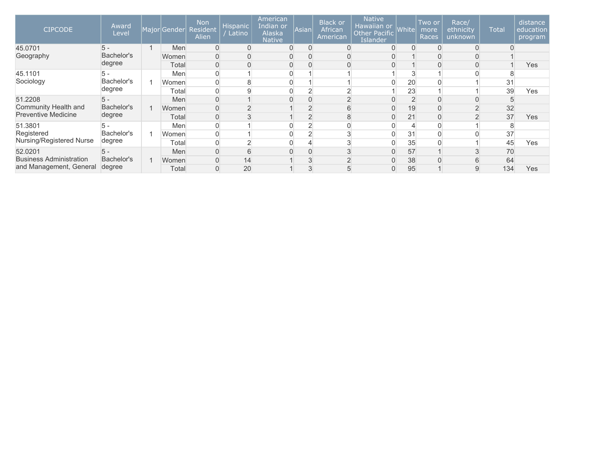| <b>CIPCODE</b>                 | Award<br>Level | Major Gender | <b>Non</b><br>Resident<br>Alien | <b>Hispanic</b><br>Latino | American<br>Indian or<br>Alaska<br><b>Native</b> | Asian | <b>Black or</b><br>African<br>American | <b>Native</b><br>Hawaiian or<br><b>Other Pacific</b><br><b>Islander</b> | <b>White</b> | Two or<br>more<br>Races | Race/<br>ethnicity<br>unknown | <b>Total</b> | distance<br>education<br>program |
|--------------------------------|----------------|--------------|---------------------------------|---------------------------|--------------------------------------------------|-------|----------------------------------------|-------------------------------------------------------------------------|--------------|-------------------------|-------------------------------|--------------|----------------------------------|
| 45.0701                        | $5 -$          | Men          |                                 | $\overline{0}$            | $\Omega$                                         |       |                                        |                                                                         |              |                         |                               |              |                                  |
| Geography                      | Bachelor's     | Women        |                                 | $\overline{0}$            |                                                  |       |                                        |                                                                         |              |                         |                               |              |                                  |
|                                | degree         | Total        | 0                               | $\mathbf{0}$              | 0                                                |       |                                        |                                                                         |              |                         |                               |              | Yes                              |
| 45.1101                        | 5 -            | Men          |                                 |                           |                                                  |       |                                        |                                                                         |              |                         |                               |              |                                  |
| Sociology                      | Bachelor's     | Women        |                                 | 8                         |                                                  |       |                                        |                                                                         | 20           |                         |                               | 31           |                                  |
| degree                         | Total          | 0            | 9                               | 0                         |                                                  |       |                                        | 23                                                                      |              |                         | 39                            | Yes          |                                  |
| 51.2208                        | $5 -$          | Men          | 0                               |                           | $\Omega$                                         |       |                                        |                                                                         |              |                         |                               |              |                                  |
| Community Health and           | Bachelor's     | Women        |                                 |                           |                                                  |       |                                        |                                                                         | 19           |                         |                               | 32           |                                  |
| <b>Preventive Medicine</b>     | degree         | Total        |                                 |                           |                                                  |       |                                        |                                                                         | 21           |                         |                               | 37           | Yes                              |
| 51.3801                        |                | Men          |                                 |                           |                                                  |       |                                        |                                                                         |              |                         |                               |              |                                  |
| Registered                     | Bachelor's     | Women        |                                 |                           | $\Omega$                                         |       |                                        |                                                                         | 31           |                         |                               | 37           |                                  |
| Nursing/Registered Nurse       | degree         | Total        |                                 |                           |                                                  |       |                                        |                                                                         | 35           |                         |                               | 45           | Yes                              |
| 52.0201                        | $5 -$          | Men          |                                 | 6                         |                                                  |       |                                        |                                                                         | 57           |                         |                               | 70           |                                  |
| <b>Business Administration</b> | Bachelor's     | Women        |                                 | 14                        |                                                  |       |                                        |                                                                         | 38           |                         | 6                             | 64           |                                  |
| and Management, General        | degree         | Total        | $\overline{0}$                  | 20                        |                                                  |       |                                        |                                                                         | 95           |                         | 9                             | 134          | Yes                              |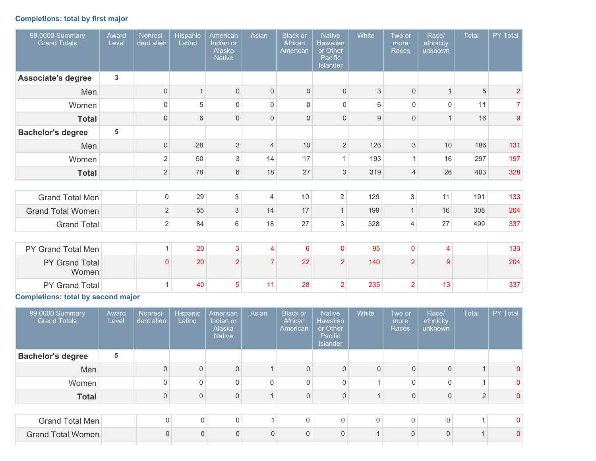## **Completions: total by first major**

| 99.0000 Summary<br><b>Grand Totals</b> | Award<br>Level | Nonresi-<br>dent alien | Hispanic<br>Latino | American<br>Indian or<br>Alaska<br><b>Native</b> | Asian          | <b>Black or</b><br>African<br>American | <b>Native</b><br><b>Hawaiian</b><br>or Other<br>Pacific<br>Islander | White | Two or<br>more<br>Races | Race/<br>ethnicity<br>unknown | Total | PY Total       |
|----------------------------------------|----------------|------------------------|--------------------|--------------------------------------------------|----------------|----------------------------------------|---------------------------------------------------------------------|-------|-------------------------|-------------------------------|-------|----------------|
| <b>Associate's degree</b>              | 3              |                        |                    |                                                  |                |                                        |                                                                     |       |                         |                               |       |                |
| Men                                    |                | $\mathsf{O}\xspace$    | $\mathbf{1}$       | $\mathsf 0$                                      | $\mathbf{0}$   | $\mathsf{O}\xspace$                    | $\mathsf{O}\xspace$                                                 | 3     | $\mathbf 0$             | $\mathbf{1}$                  | 5     | $\overline{2}$ |
| Women                                  |                | $\mathsf 0$            | 5                  | $\mathbf 0$                                      | $\Omega$       | 0                                      | $\mathbf 0$                                                         | 6     | $\Omega$                | 0                             | 11    | 7              |
| <b>Total</b>                           |                | $\mathbf{0}$           | 6                  | $\Omega$                                         | $\Omega$       | $\mathbf 0$                            | $\mathsf{O}\xspace$                                                 | 9     | $\Omega$                | $\mathbf 1$                   | 16    | 9              |
| <b>Bachelor's degree</b>               | 5              |                        |                    |                                                  |                |                                        |                                                                     |       |                         |                               |       |                |
| Men                                    |                | $\boldsymbol{0}$       | 28                 | $\mathfrak{S}$                                   | 4              | 10                                     | $\overline{2}$                                                      | 126   | $\sqrt{3}$              | 10                            | 186   | 131            |
| Women                                  |                | $\overline{2}$         | 50                 | 3                                                | 14             | 17                                     | $\mathbf{1}$                                                        | 193   | $\mathbf{1}$            | 16                            | 297   | 197            |
| <b>Total</b>                           |                | $\overline{2}$         | 78                 | 6                                                | 18             | 27                                     | 3                                                                   | 319   | $\overline{4}$          | 26                            | 483   | 328            |
|                                        |                |                        |                    |                                                  |                |                                        |                                                                     |       |                         |                               |       |                |
| <b>Grand Total Men</b>                 |                | $\mathsf{O}\xspace$    | 29                 | $\sqrt{3}$                                       | $\overline{4}$ | 10                                     | $\overline{2}$                                                      | 129   | 3                       | 11                            | 191   | 133            |
| <b>Grand Total Women</b>               |                | $\sqrt{2}$             | 55                 | 3                                                | 14             | 17                                     | $\mathbf{1}$                                                        | 199   | 1                       | 16                            | 308   | 204            |
| <b>Grand Total</b>                     |                | $\overline{2}$         | 84                 | 6                                                | 18             | 27                                     | 3                                                                   | 328   | 4                       | 27                            | 499   | 337            |
|                                        |                |                        |                    |                                                  |                |                                        |                                                                     |       |                         |                               |       |                |
| PY Grand Total Men                     |                | $\mathbf{1}$           | 20                 | $\mathbf{3}$                                     | 4              | 6                                      | $\pmb{0}$                                                           | 95    | $\mathbf 0$             | $\overline{4}$                |       | 133            |
| PY Grand Total<br>Women                |                | $\mathbf{0}$           | 20                 | $\overline{2}$                                   | $\overline{7}$ | 22                                     | $\overline{2}$                                                      | 140   | $\overline{2}$          | 9                             |       | 204            |
| PY Grand Total                         |                | 1                      | 40                 | 5                                                | 11             | 28                                     | $\overline{2}$                                                      | 235   | $\overline{2}$          | 13                            |       | 337            |

**Completions: total by second major**

| 99.0000 Summary<br><b>Grand Totals</b> | Award<br>Level | Nonresi-<br>dent alien | Hispanic<br>Latino | American<br>Indian or<br>Alaska<br><b>Native</b> | Asian          | <b>Black or</b><br>African<br>American | <b>Native</b><br><b>Hawaiian</b><br>or Other<br>Pacific<br>Islander | White                    | Two or<br>more<br>Races | Race/<br>ethnicity<br>unknown | <b>Total</b> | PY Total     |
|----------------------------------------|----------------|------------------------|--------------------|--------------------------------------------------|----------------|----------------------------------------|---------------------------------------------------------------------|--------------------------|-------------------------|-------------------------------|--------------|--------------|
| <b>Bachelor's degree</b>               | 5              |                        |                    |                                                  |                |                                        |                                                                     |                          |                         |                               |              |              |
| Men                                    |                | $\mathbf 0$            | $\mathbf{0}$       | $\Omega$                                         |                | $\Omega$                               | 0                                                                   | $\Omega$                 | $\Omega$                | 0                             |              | 0            |
| Women                                  |                | 0                      | $\mathbf{0}$       | $\Omega$                                         | $\mathbf 0$    | $\mathbf{0}$                           | 0                                                                   |                          | $\Omega$                | 0                             |              | 0            |
| <b>Total</b>                           |                | 0                      | $\overline{0}$     | $\Omega$                                         |                | $\mathbf{0}$                           | $\mathsf 0$                                                         |                          | $\Omega$                | 0                             | $\Omega$     | $\mathbf{0}$ |
|                                        |                |                        |                    |                                                  |                |                                        |                                                                     |                          |                         |                               |              |              |
| Grand Total Men                        |                | 0                      | $\Omega$           | $\mathbf 0$                                      |                | $\Omega$                               | $\mathbf 0$                                                         | 0                        | $\mathbf 0$             | 0                             |              | $\mathbf{0}$ |
| <b>Grand Total Women</b>               |                | $\mathbf{0}$           | $\Omega$           | $\Omega$                                         | $\overline{0}$ | $\Omega$                               | $\mathbf{0}$                                                        | $\overline{\mathcal{A}}$ | $\mathbf{0}$            | $\Omega$                      |              | $\mathbf{0}$ |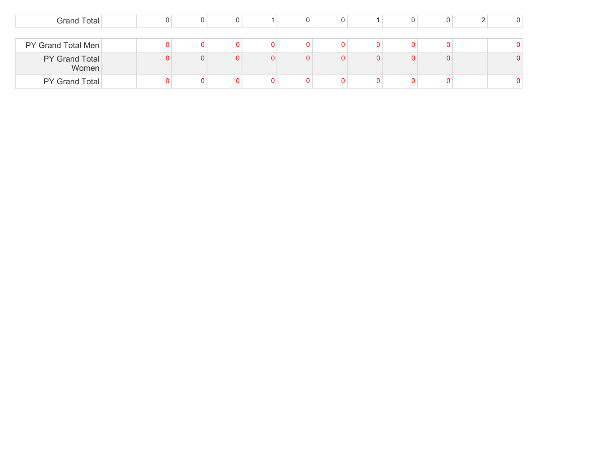| Grand Total             |  |  |   |   |   |   |  | 0. |
|-------------------------|--|--|---|---|---|---|--|----|
|                         |  |  |   |   |   |   |  |    |
| PY Grand Total Men      |  |  |   |   |   |   |  |    |
| PY Grand Total<br>Women |  |  | n | 0 | 0 | 0 |  | 0. |
| PY Grand Total          |  |  |   |   |   |   |  | 0. |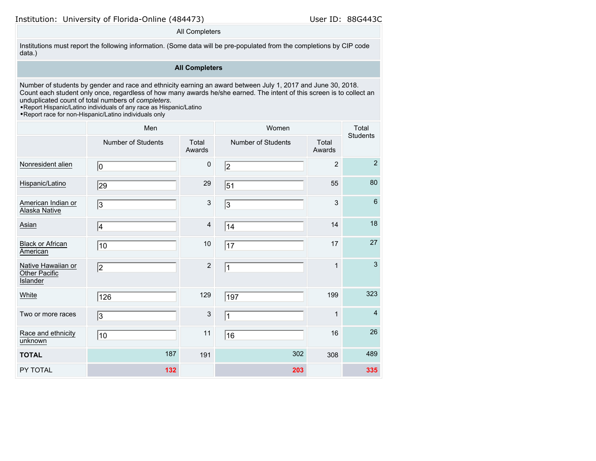#### All Completers

Institutions must report the following information. (Some data will be pre-populated from the completions by CIP code data.)

### **All Completers**

Number of students by gender and race and ethnicity earning an award between July 1, 2017 and June 30, 2018. Count each student only once, regardless of how many awards he/she earned. The intent of this screen is to collect an unduplicated count of total numbers of *completers*.

•Report Hispanic/Latino individuals of any race as Hispanic/Latino

•Report race for non-Hispanic/Latino individuals only

|                                                 | Men                       |                         | Women                     |                 | Total<br><b>Students</b> |
|-------------------------------------------------|---------------------------|-------------------------|---------------------------|-----------------|--------------------------|
|                                                 | <b>Number of Students</b> | Total<br>Awards         | <b>Number of Students</b> | Total<br>Awards |                          |
| Nonresident alien                               | 10                        | $\pmb{0}$               | 2                         | $\overline{2}$  | $\overline{2}$           |
| Hispanic/Latino                                 | 29                        | 29                      | 51                        | 55              | 80                       |
| American Indian or<br>Alaska Native             | 3                         | 3                       | 3                         | 3               | $6\phantom{1}6$          |
| Asian                                           | 4                         | $\overline{\mathbf{4}}$ | 14                        | 14              | 18                       |
| <b>Black or African</b><br>American             | 10                        | $10$                    | 17                        | 17              | 27                       |
| Native Hawaiian or<br>Other Pacific<br>Islander | 2                         | $\overline{2}$          | $\mathbf{1}$              | $\mathbf{1}$    | $\mathbf{3}$             |
| White                                           | 126                       | 129                     | 197                       | 199             | 323                      |
| Two or more races                               | $\overline{3}$            | 3                       | $\mathbf{1}$              | $\mathbf{1}$    | $\overline{4}$           |
| Race and ethnicity<br>unknown                   | 10                        | 11                      | 16                        | 16              | 26                       |
| <b>TOTAL</b>                                    | 187                       | 191                     | 302                       | 308             | 489                      |
| PY TOTAL                                        | 132                       |                         | 203                       |                 | 335                      |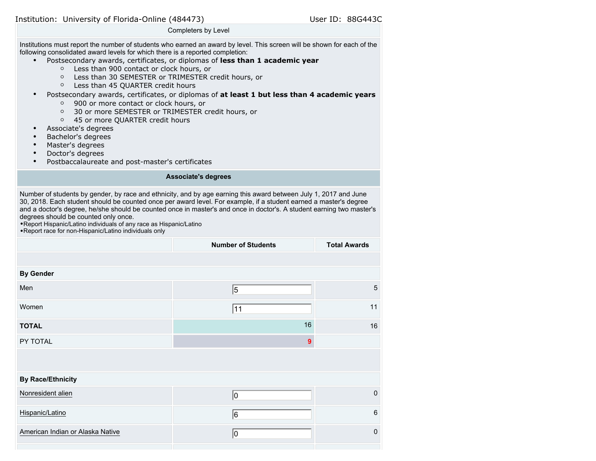Completers by Level

Institutions must report the number of students who earned an award by level. This screen will be shown for each of the following consolidated award levels for which there is a reported completion:

- Postsecondary awards, certificates, or diplomas of **less than 1 academic year**
	- Less than 900 contact or clock hours, or
	- Less than 30 SEMESTER or TRIMESTER credit hours, or
	- Less than 45 QUARTER credit hours
- Postsecondary awards, certificates, or diplomas of **at least 1 but less than 4 academic years**
	- 900 or more contact or clock hours, or
	- 30 or more SEMESTER or TRIMESTER credit hours, or
	- 45 or more QUARTER credit hours
- Associate's degrees
- Bachelor's degrees
- Master's degrees
- Doctor's degrees
- Postbaccalaureate and post-master's certificates

#### **Associate's degrees**

Number of students by gender, by race and ethnicity, and by age earning this award between July 1, 2017 and June 30, 2018. Each student should be counted once per award level. For example, if a student earned a master's degree and a doctor's degree, he/she should be counted once in master's and once in doctor's. A student earning two master's degrees should be counted only once.

•Report Hispanic/Latino individuals of any race as Hispanic/Latino •Report race for non-Hispanic/Latino individuals only

|                                  | <b>Number of Students</b> | <b>Total Awards</b> |
|----------------------------------|---------------------------|---------------------|
|                                  |                           |                     |
| <b>By Gender</b>                 |                           |                     |
| Men                              | 5                         | 5                   |
| Women                            | 11                        | 11                  |
| <b>TOTAL</b>                     | 16                        | 16                  |
| PY TOTAL                         | $\overline{9}$            |                     |
|                                  |                           |                     |
| <b>By Race/Ethnicity</b>         |                           |                     |
| Nonresident alien                | 10                        | $\mathbf 0$         |
| Hispanic/Latino                  | 6                         | 6                   |
| American Indian or Alaska Native | 10                        | $\mathbf 0$         |
|                                  |                           |                     |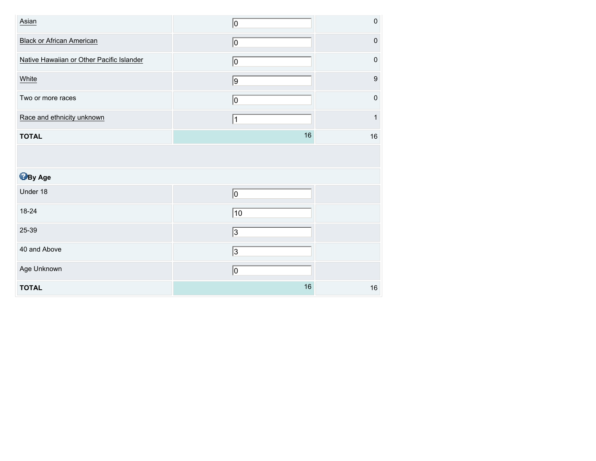| Asian                                     | 10             | 0                |
|-------------------------------------------|----------------|------------------|
| <b>Black or African American</b>          | 0              | $\mathbf 0$      |
| Native Hawaiian or Other Pacific Islander | 0              | $\pmb{0}$        |
| White                                     | $\overline{9}$ | $\boldsymbol{9}$ |
| Two or more races                         | 0              | $\mathbf 0$      |
| Race and ethnicity unknown                | $\vert$ 1      | 1                |
| <b>TOTAL</b>                              | 16             | 16               |
|                                           |                |                  |
| <b>B</b> By Age                           |                |                  |
| Under 18                                  | $\overline{0}$ |                  |
| 18-24                                     | 10             |                  |
| 25-39                                     | $\sqrt{3}$     |                  |
| 40 and Above                              | 3              |                  |
| Age Unknown                               | $\overline{0}$ |                  |
| <b>TOTAL</b>                              | $16\,$         | 16               |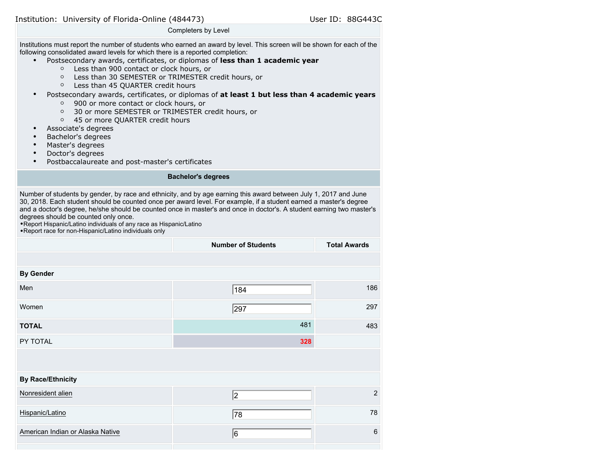Completers by Level

Institutions must report the number of students who earned an award by level. This screen will be shown for each of the following consolidated award levels for which there is a reported completion:

- Postsecondary awards, certificates, or diplomas of **less than 1 academic year**
	- Less than 900 contact or clock hours, or
	- Less than 30 SEMESTER or TRIMESTER credit hours, or
	- Less than 45 QUARTER credit hours
- Postsecondary awards, certificates, or diplomas of **at least 1 but less than 4 academic years**
	- 900 or more contact or clock hours, or
	- 30 or more SEMESTER or TRIMESTER credit hours, or
	- 45 or more QUARTER credit hours
- Associate's degrees
- Bachelor's degrees
- Master's degrees
- Doctor's degrees
- Postbaccalaureate and post-master's certificates

#### **Bachelor's degrees**

Number of students by gender, by race and ethnicity, and by age earning this award between July 1, 2017 and June 30, 2018. Each student should be counted once per award level. For example, if a student earned a master's degree and a doctor's degree, he/she should be counted once in master's and once in doctor's. A student earning two master's degrees should be counted only once.

•Report Hispanic/Latino individuals of any race as Hispanic/Latino •Report race for non-Hispanic/Latino individuals only

|                                  | <b>Number of Students</b> | <b>Total Awards</b> |
|----------------------------------|---------------------------|---------------------|
|                                  |                           |                     |
| <b>By Gender</b>                 |                           |                     |
| Men                              | 184                       | 186                 |
| Women                            | 297                       | 297                 |
| <b>TOTAL</b>                     | 481                       | 483                 |
| PY TOTAL                         | 328                       |                     |
|                                  |                           |                     |
| <b>By Race/Ethnicity</b>         |                           |                     |
| Nonresident alien                | 2                         | $\overline{2}$      |
| Hispanic/Latino                  | 78                        | 78                  |
| American Indian or Alaska Native | 6                         | 6                   |
|                                  |                           |                     |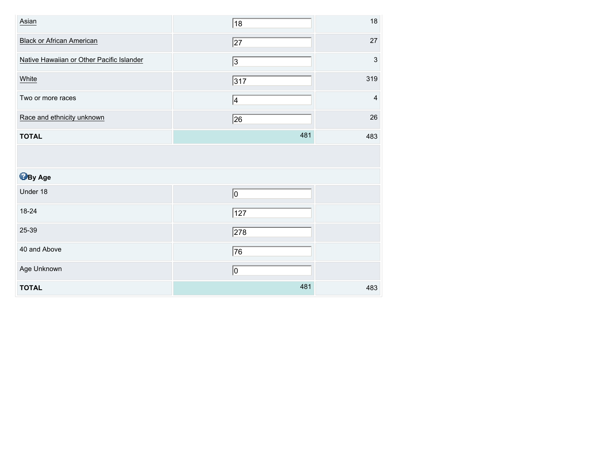| Asian                                     | 18              | 18                        |
|-------------------------------------------|-----------------|---------------------------|
| <b>Black or African American</b>          | $\overline{27}$ | 27                        |
| Native Hawaiian or Other Pacific Islander | $\sqrt{3}$      | $\ensuremath{\mathsf{3}}$ |
| White                                     | 317             | 319                       |
| Two or more races                         | 4               | $\overline{\mathbf{4}}$   |
| Race and ethnicity unknown                | 26              | 26                        |
| <b>TOTAL</b>                              | 481             | 483                       |
|                                           |                 |                           |
|                                           |                 |                           |
| <b>B</b> By Age                           |                 |                           |
| Under 18                                  | $ 0\rangle$     |                           |
| 18-24                                     | 127             |                           |
| 25-39                                     | $\sqrt{278}$    |                           |
| 40 and Above                              | 76              |                           |
| Age Unknown                               | 0               |                           |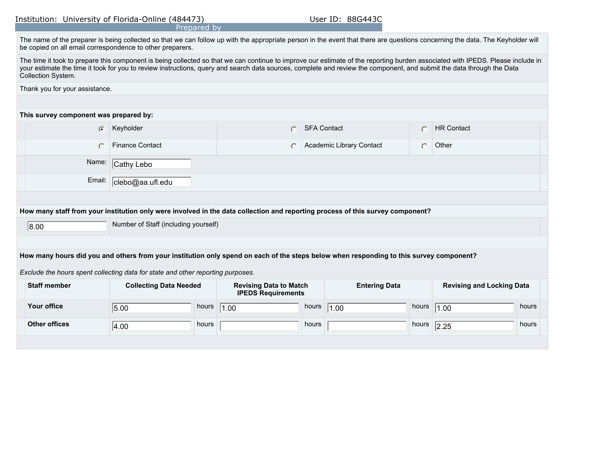|                                                                                                                                                                                                                                                                                                                                                                               |                                      | Prepared by |                               |                    |                          |           |                                  |       |
|-------------------------------------------------------------------------------------------------------------------------------------------------------------------------------------------------------------------------------------------------------------------------------------------------------------------------------------------------------------------------------|--------------------------------------|-------------|-------------------------------|--------------------|--------------------------|-----------|----------------------------------|-------|
| The name of the preparer is being collected so that we can follow up with the appropriate person in the event that there are questions concerning the data. The Keyholder will<br>be copied on all email correspondence to other preparers.                                                                                                                                   |                                      |             |                               |                    |                          |           |                                  |       |
| The time it took to prepare this component is being collected so that we can continue to improve our estimate of the reporting burden associated with IPEDS. Please include in<br>your estimate the time it took for you to review instructions, query and search data sources, complete and review the component, and submit the data through the Data<br>Collection System. |                                      |             |                               |                    |                          |           |                                  |       |
| Thank you for your assistance.                                                                                                                                                                                                                                                                                                                                                |                                      |             |                               |                    |                          |           |                                  |       |
|                                                                                                                                                                                                                                                                                                                                                                               |                                      |             |                               |                    |                          |           |                                  |       |
| This survey component was prepared by:                                                                                                                                                                                                                                                                                                                                        |                                      |             |                               |                    |                          |           |                                  |       |
| $\bigcap$                                                                                                                                                                                                                                                                                                                                                                     | Keyholder                            |             |                               | <b>SFA Contact</b> |                          | $\subset$ | <b>HR Contact</b>                |       |
| $\bigcap$                                                                                                                                                                                                                                                                                                                                                                     | <b>Finance Contact</b>               |             |                               |                    | Academic Library Contact | $\bigcap$ | Other                            |       |
| Name:                                                                                                                                                                                                                                                                                                                                                                         | Cathy Lebo                           |             |                               |                    |                          |           |                                  |       |
| Email:                                                                                                                                                                                                                                                                                                                                                                        | clebo@aa.ufl.edu                     |             |                               |                    |                          |           |                                  |       |
|                                                                                                                                                                                                                                                                                                                                                                               |                                      |             |                               |                    |                          |           |                                  |       |
| How many staff from your institution only were involved in the data collection and reporting process of this survey component?                                                                                                                                                                                                                                                |                                      |             |                               |                    |                          |           |                                  |       |
| 8.00                                                                                                                                                                                                                                                                                                                                                                          | Number of Staff (including yourself) |             |                               |                    |                          |           |                                  |       |
|                                                                                                                                                                                                                                                                                                                                                                               |                                      |             |                               |                    |                          |           |                                  |       |
| How many hours did you and others from your institution only spend on each of the steps below when responding to this survey component?                                                                                                                                                                                                                                       |                                      |             |                               |                    |                          |           |                                  |       |
| Exclude the hours spent collecting data for state and other reporting purposes.                                                                                                                                                                                                                                                                                               |                                      |             |                               |                    |                          |           |                                  |       |
| <b>Staff member</b>                                                                                                                                                                                                                                                                                                                                                           | <b>Collecting Data Needed</b>        |             | <b>Revising Data to Match</b> |                    | <b>Entering Data</b>     |           | <b>Revising and Locking Data</b> |       |
|                                                                                                                                                                                                                                                                                                                                                                               |                                      |             | <b>IPEDS Requirements</b>     |                    |                          |           |                                  |       |
| <b>Your office</b>                                                                                                                                                                                                                                                                                                                                                            | 5.00                                 | hours       | 1.00                          | hours              | 1.00                     | hours     | 1.00                             | hours |
| <b>Other offices</b>                                                                                                                                                                                                                                                                                                                                                          | 4.00                                 | hours       |                               | hours              |                          | hours     | 2.25                             | hours |
|                                                                                                                                                                                                                                                                                                                                                                               |                                      |             |                               |                    |                          |           |                                  |       |
|                                                                                                                                                                                                                                                                                                                                                                               |                                      |             |                               |                    |                          |           |                                  |       |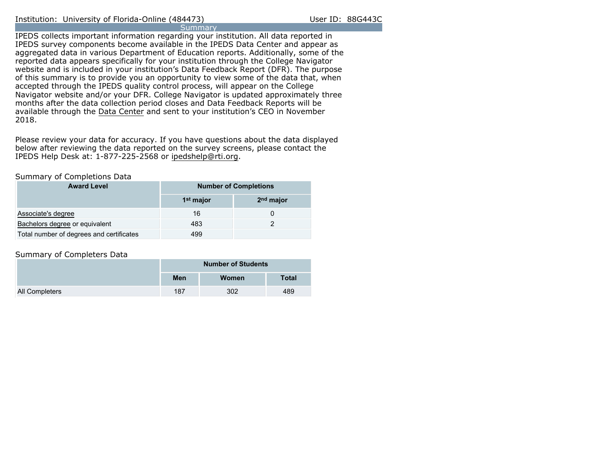IPEDS collects important information regarding your institution. All data reported in IPEDS survey components become available in the IPEDS Data Center and appear as aggregated data in various Department of Education reports. Additionally, some of the reported data appears specifically for your institution through the College Navigator website and is included in your institution's Data Feedback Report (DFR). The purpose of this summary is to provide you an opportunity to view some of the data that, when accepted through the IPEDS quality control process, will appear on the College Navigator website and/or your DFR. College Navigator is updated approximately three months after the data collection period closes and Data Feedback Reports will be available through the [Data Center](https://nces.ed.gov/ipeds/use-the-data) and sent to your institution's CEO in November 2018.

Please review your data for accuracy. If you have questions about the data displayed below after reviewing the data reported on the survey screens, please contact the IPEDS Help Desk at: 1-877-225-2568 or ipedshelp@rti.org.

#### Summary of Completions Data

| <b>Award Level</b>                       | <b>Number of Completions</b> |                       |  |  |  |  |
|------------------------------------------|------------------------------|-----------------------|--|--|--|--|
|                                          | 1 <sup>st</sup> major        | 2 <sup>nd</sup> major |  |  |  |  |
| Associate's degree                       | 16                           |                       |  |  |  |  |
| Bachelors degree or equivalent           | 483                          |                       |  |  |  |  |
| Total number of degrees and certificates | 499                          |                       |  |  |  |  |

#### Summary of Completers Data

|                       | <b>Number of Students</b> |       |              |  |
|-----------------------|---------------------------|-------|--------------|--|
|                       | Men                       | Women | <b>Total</b> |  |
| <b>All Completers</b> | 187                       | 302   | 489          |  |